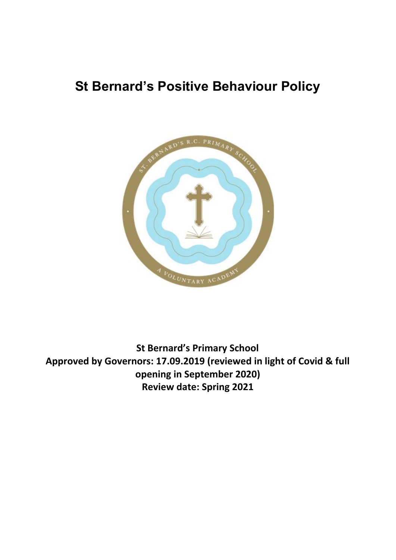# **St Bernard's Positive Behaviour Policy**



**St Bernard's Primary School Approved by Governors: 17.09.2019 (reviewed in light of Covid & full opening in September 2020) Review date: Spring 2021**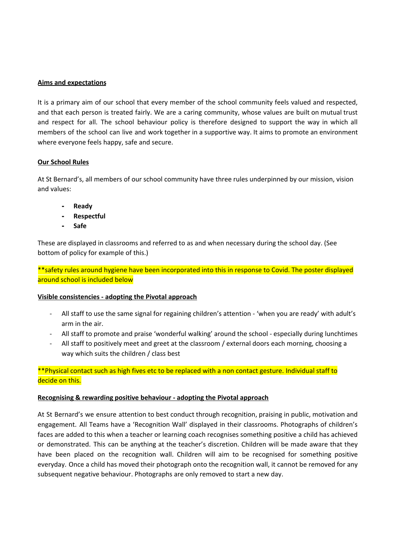## **Aims and expectations**

It is a primary aim of our school that every member of the school community feels valued and respected, and that each person is treated fairly. We are a caring community, whose values are built on mutual trust and respect for all. The school behaviour policy is therefore designed to support the way in which all members of the school can live and work together in a supportive way. It aims to promote an environment where everyone feels happy, safe and secure.

## **Our School Rules**

At St Bernard's, all members of our school community have three rules underpinned by our mission, vision and values:

- **- Ready**
- **- Respectful**
- **- Safe**

These are displayed in classrooms and referred to as and when necessary during the school day. (See bottom of policy for example of this.)

\*\*safety rules around hygiene have been incorporated into this in response to Covid. The poster displayed around school is included below

## **Visible consistencies - adopting the Pivotal approach**

- All staff to use the same signal for regaining children's attention 'when you are ready' with adult's arm in the air.
- All staff to promote and praise 'wonderful walking' around the school especially during lunchtimes
- All staff to positively meet and greet at the classroom / external doors each morning, choosing a way which suits the children / class best

## \*\*Physical contact such as high fives etc to be replaced with a non contact gesture. Individual staff to decide on this.

## **Recognising & rewarding positive behaviour - adopting the Pivotal approach**

At St Bernard's we ensure attention to best conduct through recognition, praising in public, motivation and engagement. All Teams have a 'Recognition Wall' displayed in their classrooms. Photographs of children's faces are added to this when a teacher or learning coach recognises something positive a child has achieved or demonstrated. This can be anything at the teacher's discretion. Children will be made aware that they have been placed on the recognition wall. Children will aim to be recognised for something positive everyday. Once a child has moved their photograph onto the recognition wall, it cannot be removed for any subsequent negative behaviour. Photographs are only removed to start a new day.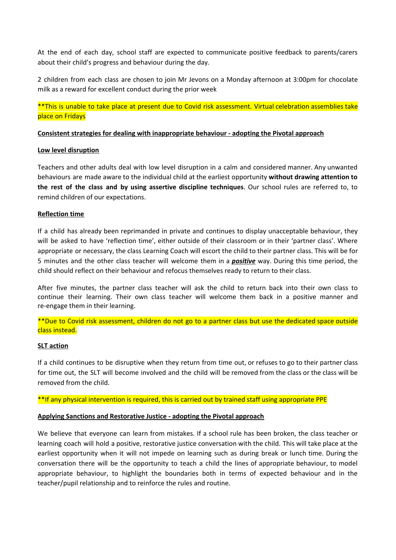At the end of each day, school staff are expected to communicate positive feedback to parents/carers about their child's progress and behaviour during the day.

2 children from each class are chosen to join Mr Jevons on a Monday afternoon at 3:00pm for chocolate milk as a reward for excellent conduct during the prior week

\*\*This is unable to take place at present due to Covid risk assessment. Virtual celebration assemblies take place on Fridays

## **Consistent strategies for dealing with inappropriate behaviour - adopting the Pivotal approach**

## **Low level disruption**

Teachers and other adults deal with low level disruption in a calm and considered manner. Any unwanted behaviours are made aware to the individual child at the earliest opportunity **without drawing attention to the rest of the class and by using assertive discipline techniques**. Our school rules are referred to, to remind children of our expectations.

## **Reflection time**

If a child has already been reprimanded in private and continues to display unacceptable behaviour, they will be asked to have 'reflection time', either outside of their classroom or in their 'partner class'. Where appropriate or necessary, the class Learning Coach will escort the child to their partner class. This will be for 5 minutes and the other class teacher will welcome them in a *positive* way. During this time period, the child should reflect on their behaviour and refocus themselves ready to return to their class.

After five minutes, the partner class teacher will ask the child to return back into their own class to continue their learning. Their own class teacher will welcome them back in a positive manner and re-engage them in their learning.

\*\*Due to Covid risk assessment, children do not go to a partner class but use the dedicated space outside class instead.

## **SLT action**

If a child continues to be disruptive when they return from time out, or refuses to go to their partner class for time out, the SLT will become involved and the child will be removed from the class or the class will be removed from the child.

## \*\*If any physical intervention is required, this is carried out by trained staff using appropriate PPE

## **Applying Sanctions and Restorative Justice - adopting the Pivotal approach**

We believe that everyone can learn from mistakes. If a school rule has been broken, the class teacher or learning coach will hold a positive, restorative justice conversation with the child. This will take place at the earliest opportunity when it will not impede on learning such as during break or lunch time. During the conversation there will be the opportunity to teach a child the lines of appropriate behaviour, to model appropriate behaviour, to highlight the boundaries both in terms of expected behaviour and in the teacher/pupil relationship and to reinforce the rules and routine.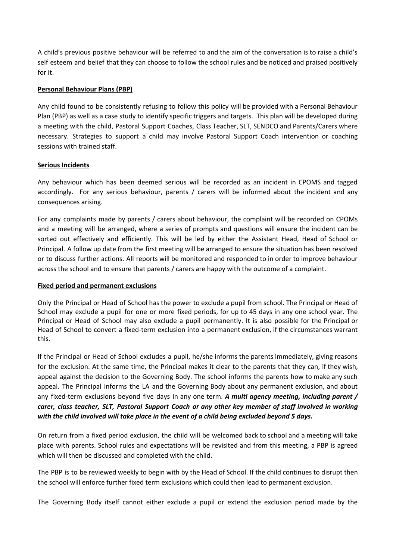A child's previous positive behaviour will be referred to and the aim of the conversation is to raise a child's self esteem and belief that they can choose to follow the school rules and be noticed and praised positively for it.

## **Personal Behaviour Plans (PBP)**

Any child found to be consistently refusing to follow this policy will be provided with a Personal Behaviour Plan (PBP) as well as a case study to identify specific triggers and targets. This plan will be developed during a meeting with the child, Pastoral Support Coaches, Class Teacher, SLT, SENDCO and Parents/Carers where necessary. Strategies to support a child may involve Pastoral Support Coach intervention or coaching sessions with trained staff.

## **Serious Incidents**

Any behaviour which has been deemed serious will be recorded as an incident in CPOMS and tagged accordingly. For any serious behaviour, parents / carers will be informed about the incident and any consequences arising.

For any complaints made by parents / carers about behaviour, the complaint will be recorded on CPOMs and a meeting will be arranged, where a series of prompts and questions will ensure the incident can be sorted out effectively and efficiently. This will be led by either the Assistant Head, Head of School or Principal. A follow up date from the first meeting will be arranged to ensure the situation has been resolved or to discuss further actions. All reports will be monitored and responded to in order to improve behaviour across the school and to ensure that parents / carers are happy with the outcome of a complaint.

## **Fixed period and permanent exclusions**

Only the Principal or Head of School has the power to exclude a pupil from school. The Principal or Head of School may exclude a pupil for one or more fixed periods, for up to 45 days in any one school year. The Principal or Head of School may also exclude a pupil permanently. It is also possible for the Principal or Head of School to convert a fixed-term exclusion into a permanent exclusion, if the circumstances warrant this.

If the Principal or Head of School excludes a pupil, he/she informs the parents immediately, giving reasons for the exclusion. At the same time, the Principal makes it clear to the parents that they can, if they wish, appeal against the decision to the Governing Body. The school informs the parents how to make any such appeal. The Principal informs the LA and the Governing Body about any permanent exclusion, and about any fixed-term exclusions beyond five days in any one term. *A multi agency meeting, including parent / carer, class teacher, SLT, Pastoral Support Coach or any other key member of staff involved in working with the child involved will take place in the event of a child being excluded beyond 5 days.*

On return from a fixed period exclusion, the child will be welcomed back to school and a meeting will take place with parents. School rules and expectations will be revisited and from this meeting, a PBP is agreed which will then be discussed and completed with the child.

The PBP is to be reviewed weekly to begin with by the Head of School. If the child continues to disrupt then the school will enforce further fixed term exclusions which could then lead to permanent exclusion.

The Governing Body itself cannot either exclude a pupil or extend the exclusion period made by the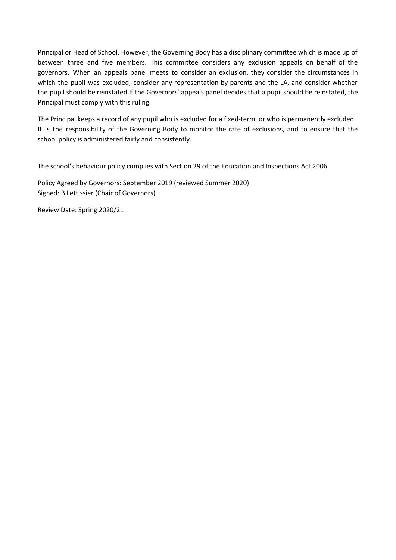Principal or Head of School. However, the Governing Body has a disciplinary committee which is made up of between three and five members. This committee considers any exclusion appeals on behalf of the governors. When an appeals panel meets to consider an exclusion, they consider the circumstances in which the pupil was excluded, consider any representation by parents and the LA, and consider whether the pupil should be reinstated.If the Governors' appeals panel decides that a pupil should be reinstated, the Principal must comply with this ruling.

The Principal keeps a record of any pupil who is excluded for a fixed-term, or who is permanently excluded. It is the responsibility of the Governing Body to monitor the rate of exclusions, and to ensure that the school policy is administered fairly and consistently.

The school's behaviour policy complies with Section 29 of the Education and Inspections Act 2006

Policy Agreed by Governors: September 2019 (reviewed Summer 2020) Signed: B Lettissier (Chair of Governors)

Review Date: Spring 2020/21